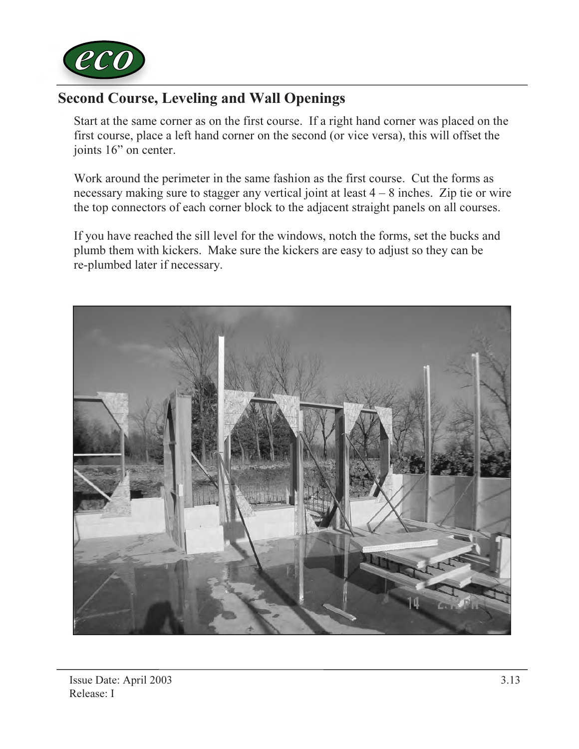

## Second Course, Leveling and Wall Openings

Start at the same corner as on the first course. If a right hand corner was placed on the first course, place a left hand corner on the second (or vice versa), this will offset the joints 16" on center.

Work around the perimeter in the same fashion as the first course. Cut the forms as necessary making sure to stagger any vertical joint at least  $4 - 8$  inches. Zip tie or wire the top connectors of each corner block to the adjacent straight panels on all courses.

If you have reached the sill level for the windows, notch the forms, set the bucks and plumb them with kickers. Make sure the kickers are easy to adjust so they can be re-plumbed later if necessary.